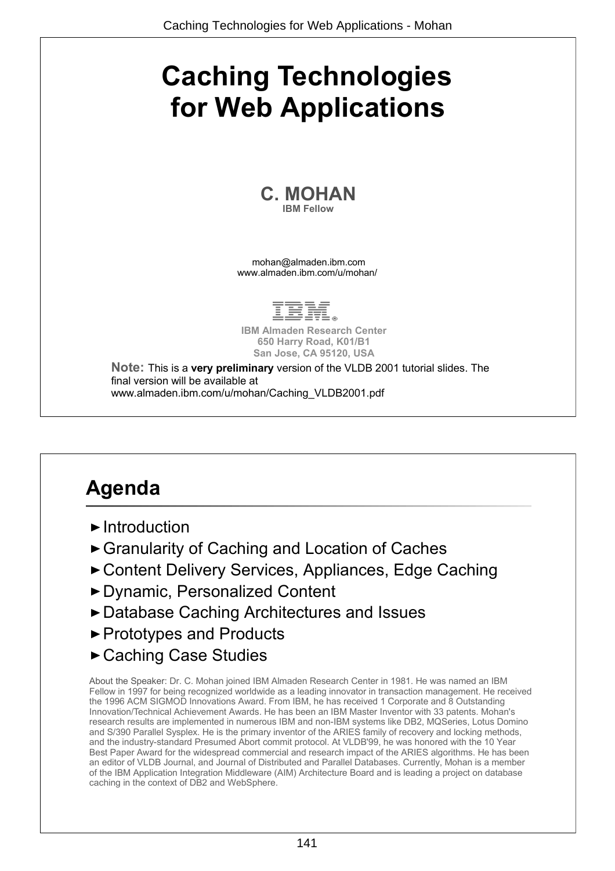# **Caching Technologies for Web Applications**

**C. MOHAN IBM Fellow**

mohan@almaden.ibm.com www.almaden.ibm.com/u/mohan/



**IBM Almaden Research Center 650 Harry Road, K01/B1 San Jose, CA 95120, USA**

**Note:** This is a **very preliminary** version of the VLDB 2001 tutorial slides. The final version will be available at www.almaden.ibm.com/u/mohan/Caching\_VLDB2001.pdf

## **Agenda**

- $\blacktriangleright$  Introduction
- ► Granularity of Caching and Location of Caches
- ► Content Delivery Services, Appliances, Edge Caching
- Dynamic, Personalized Content
- ▶ Database Caching Architectures and Issues
- ► Prototypes and Products
- Caching Case Studies

About the Speaker: Dr. C. Mohan joined IBM Almaden Research Center in 1981. He was named an IBM Fellow in 1997 for being recognized worldwide as a leading innovator in transaction management. He received the 1996 ACM SIGMOD Innovations Award. From IBM, he has received 1 Corporate and 8 Outstanding Innovation/Technical Achievement Awards. He has been an IBM Master Inventor with 33 patents. Mohan's research results are implemented in numerous IBM and non-IBM systems like DB2, MQSeries, Lotus Domino and S/390 Parallel Sysplex. He is the primary inventor of the ARIES family of recovery and locking methods, and the industry-standard Presumed Abort commit protocol. At VLDB'99, he was honored with the 10 Year Best Paper Award for the widespread commercial and research impact of the ARIES algorithms. He has been an editor of VLDB Journal, and Journal of Distributed and Parallel Databases. Currently, Mohan is a member of the IBM Application Integration Middleware (AIM) Architecture Board and is leading a project on database caching in the context of DB2 and WebSphere.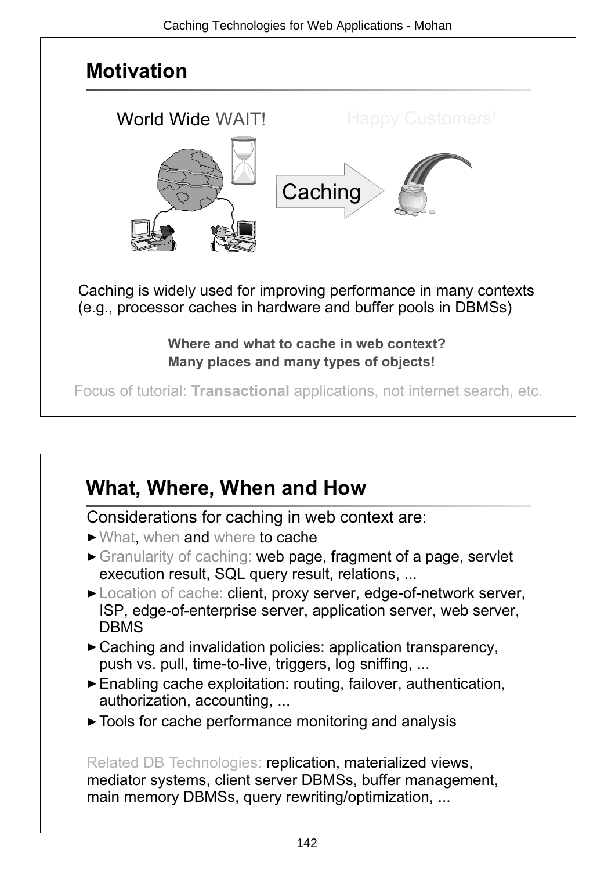

## **What, Where, When and How**

Considerations for caching in web context are:

- What, when and where to cache
- Granularity of caching: web page, fragment of a page, servlet execution result, SQL query result, relations, ...
- ► Location of cache: client, proxy server, edge-of-network server, ISP, edge-of-enterprise server, application server, web server, DBMS
- ► Caching and invalidation policies: application transparency, push vs. pull, time-to-live, triggers, log sniffing, ...
- Enabling cache exploitation: routing, failover, authentication, authorization, accounting, ...
- ► Tools for cache performance monitoring and analysis

Related DB Technologies: replication, materialized views, mediator systems, client server DBMSs, buffer management, main memory DBMSs, query rewriting/optimization, ...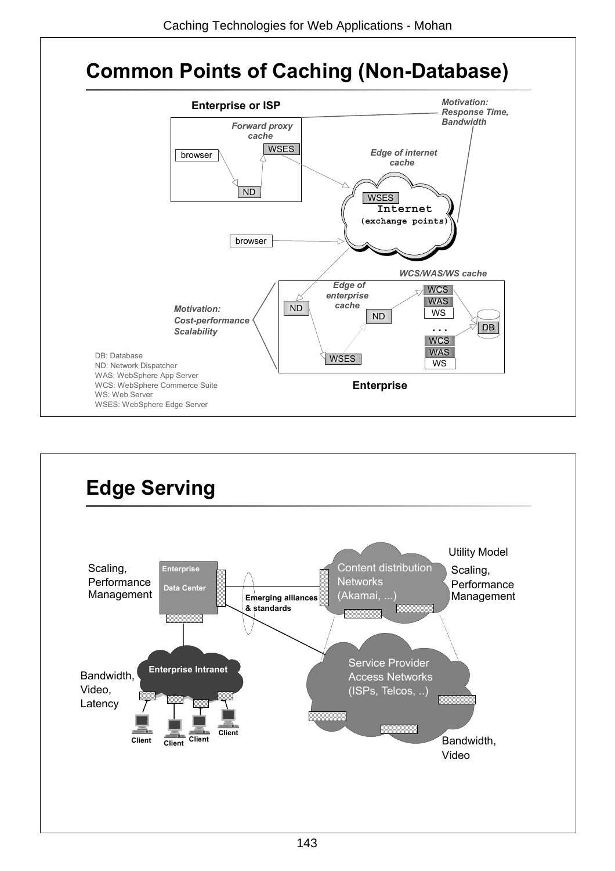

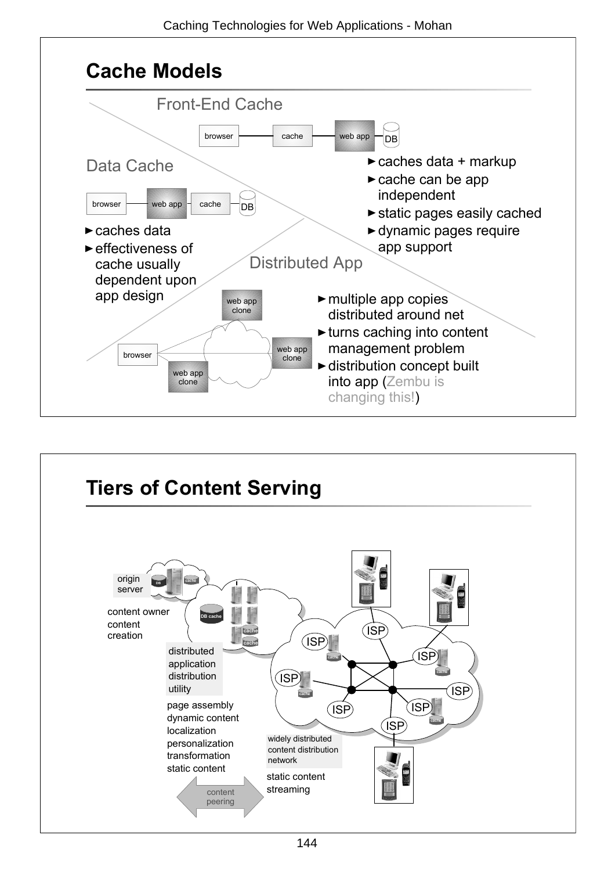

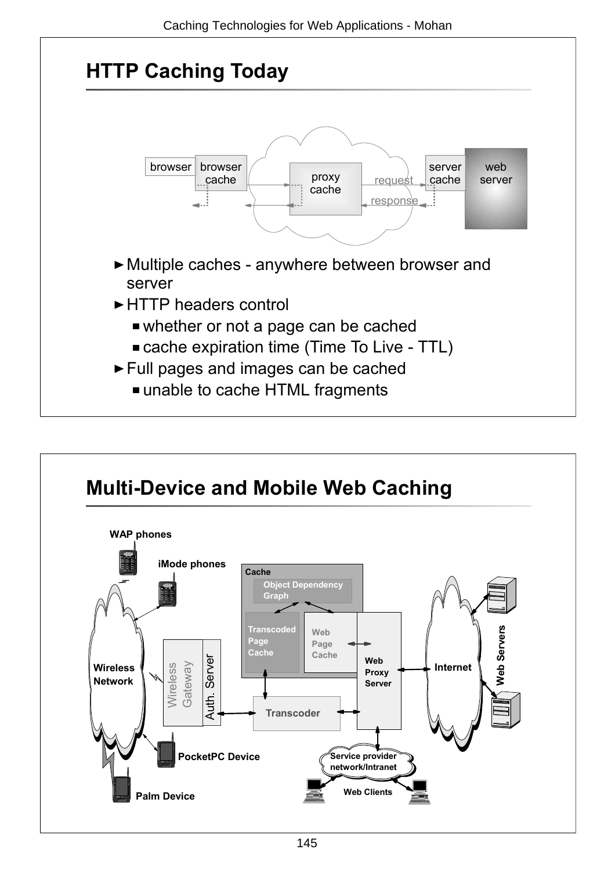

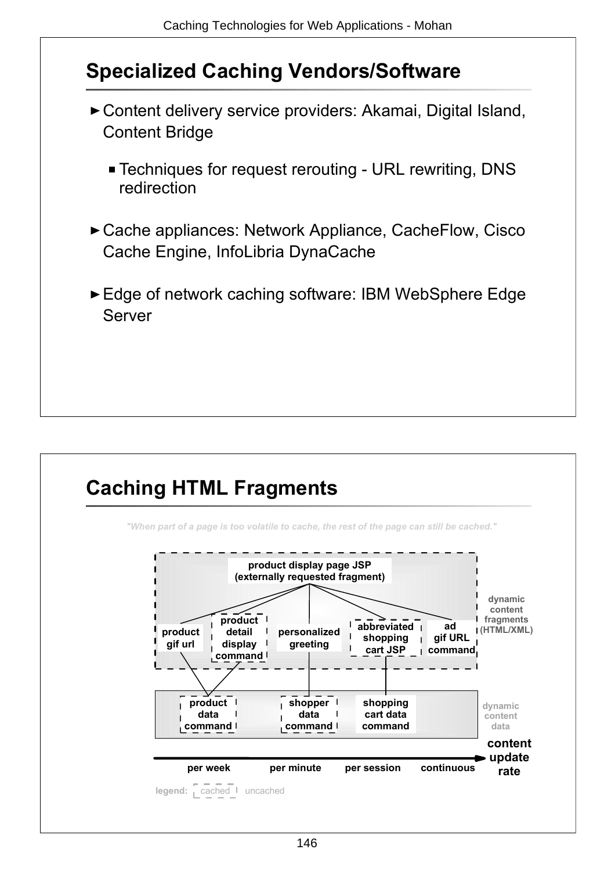### **Specialized Caching Vendors/Software**

- Content delivery service providers: Akamai, Digital Island, Content Bridge
	- Techniques for request rerouting URL rewriting, DNS redirection
- ► Cache appliances: Network Appliance, CacheFlow, Cisco Cache Engine, InfoLibria DynaCache
- ► Edge of network caching software: IBM WebSphere Edge Server

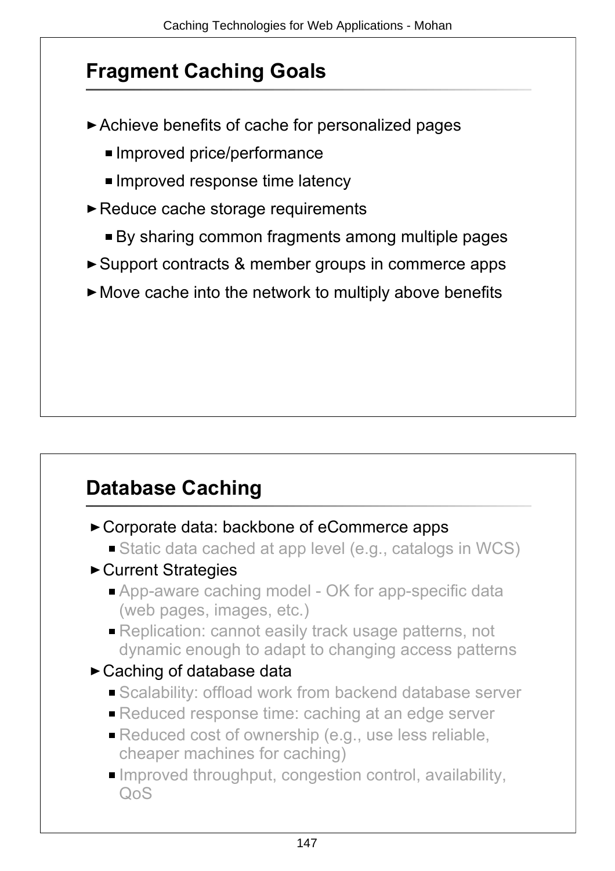### **Fragment Caching Goals**

- Achieve benefits of cache for personalized pages
	- Improved price/performance
	- **Improved response time latency**
- ► Reduce cache storage requirements
	- By sharing common fragments among multiple pages
- ► Support contracts & member groups in commerce apps
- $\blacktriangleright$  Move cache into the network to multiply above benefits

### **Database Caching**

- ► Corporate data: backbone of eCommerce apps
	- Static data cached at app level (e.g., catalogs in WCS)
- ► Current Strategies
	- App-aware caching model OK for app-specific data (web pages, images, etc.)
	- **Replication: cannot easily track usage patterns, not** dynamic enough to adapt to changing access patterns
- ► Caching of database data
	- **Scalability: offload work from backend database server**
	- **Reduced response time: caching at an edge server**
	- Reduced cost of ownership (e.g., use less reliable, cheaper machines for caching)
	- $\blacksquare$  Improved throughput, congestion control, availability,  $O<sub>0</sub>S$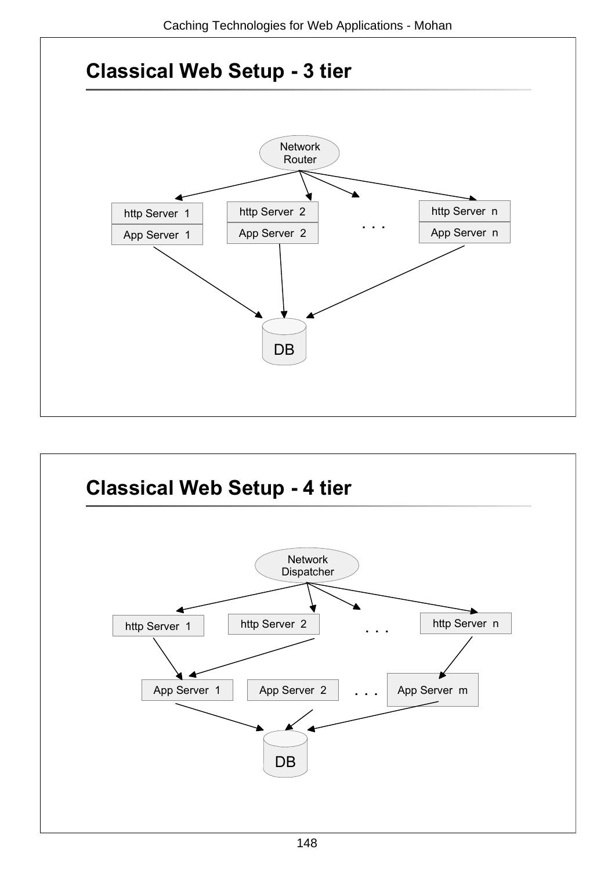

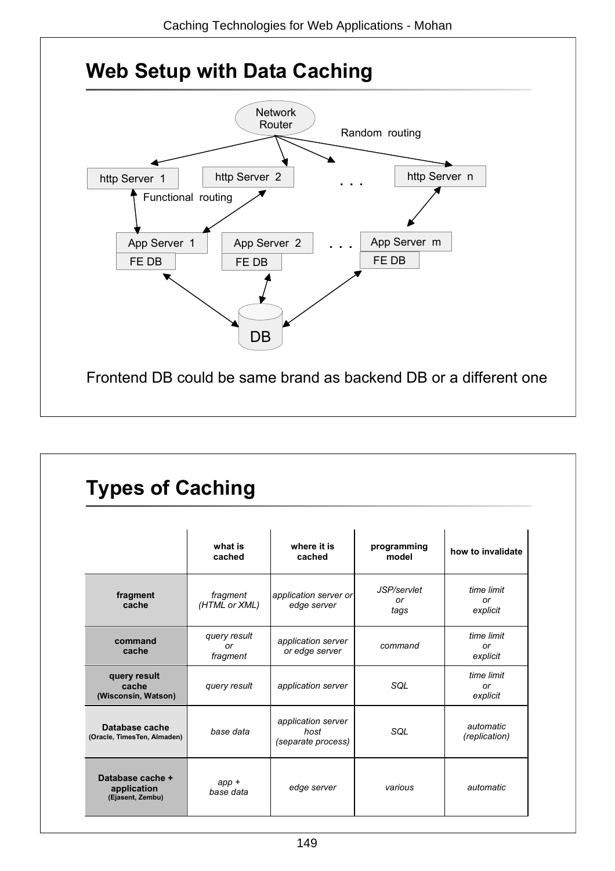

### **Types of Caching**

|                                                     | what is<br>cached              | where it is<br>cached                            | programming<br>model      | how to invalidate            |
|-----------------------------------------------------|--------------------------------|--------------------------------------------------|---------------------------|------------------------------|
| fragment<br>cache                                   | fragment<br>(HTML or XML)      | application server or<br>edge server             | JSP/servlet<br>or<br>tags | time limit<br>or<br>explicit |
| command<br>cache                                    | query result<br>or<br>fragment | application server<br>or edge server             | command                   | time limit<br>or<br>explicit |
| query result<br>cache<br>(Wisconsin, Watson)        | query result                   | application server                               | SQL                       | time limit<br>or<br>explicit |
| Database cache<br>(Oracle, TimesTen, Almaden)       | base data                      | application server<br>host<br>(separate process) | SQL                       | automatic<br>(replication)   |
| Database cache +<br>application<br>(Ejasent, Zembu) | $app +$<br>base data           | edge server                                      | various                   | automatic                    |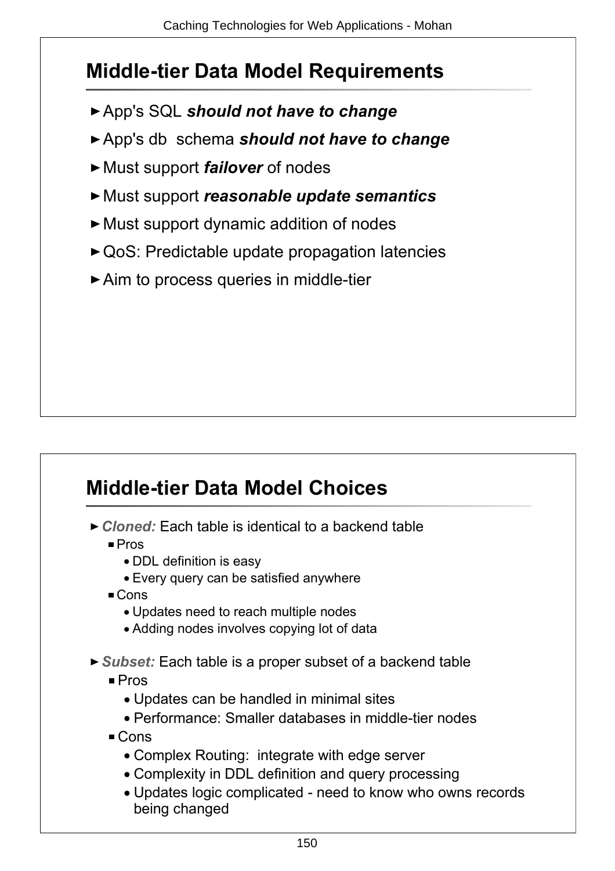### **Middle-tier Data Model Requirements**

- App's SQL *should not have to change*
- App's db schema *should not have to change*
- ► Must support *failover* of nodes
- Must support *reasonable update semantics*
- Must support dynamic addition of nodes
- ► QoS: Predictable update propagation latencies
- ▶ Aim to process queries in middle-tier

## **Middle-tier Data Model Choices**

- *Cloned:* Each table is identical to a backend table
	- Pros
		- DDL definition is easy
		- Every query can be satisfied anywhere
	- Cons
		- Updates need to reach multiple nodes
		- Adding nodes involves copying lot of data
- *Subset:* Each table is a proper subset of a backend table
	- Pros
		- Updates can be handled in minimal sites
		- Performance: Smaller databases in middle-tier nodes
	- Cons
		- Complex Routing: integrate with edge server
		- Complexity in DDL definition and query processing
		- Updates logic complicated need to know who owns records being changed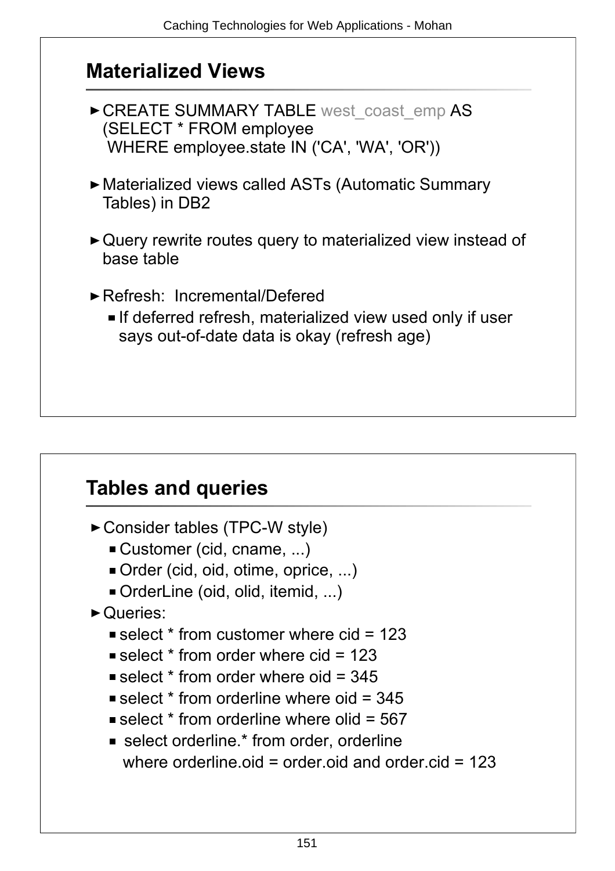#### **Materialized Views**

- ▶ CREATE SUMMARY TABLE west coast emp AS (SELECT \* FROM employee WHERE employee.state IN ('CA', 'WA', 'OR'))
- Materialized views called ASTs (Automatic Summary Tables) in DB2
- ► Query rewrite routes query to materialized view instead of base table
- Refresh: Incremental/Defered
	- **If deferred refresh, materialized view used only if user** says out-of-date data is okay (refresh age)

### **Tables and queries**

- Consider tables (TPC-W style)
	- Customer (cid, cname, ...)
	- Order (cid, oid, otime, oprice, ...)
	- OrderLine (oid, olid, itemid, ...)
- ▶ Queries:
	- select  $*$  from customer where cid = 123
	- $\blacksquare$  select  $*$  from order where cid = 123
	- select  $*$  from order where oid = 345
	- select  $*$  from orderline where oid = 345
	- select  $*$  from orderline where olid =  $567$
	- **Exercise** select orderline.<sup>\*</sup> from order, orderline where orderline oid = order oid and order cid =  $123$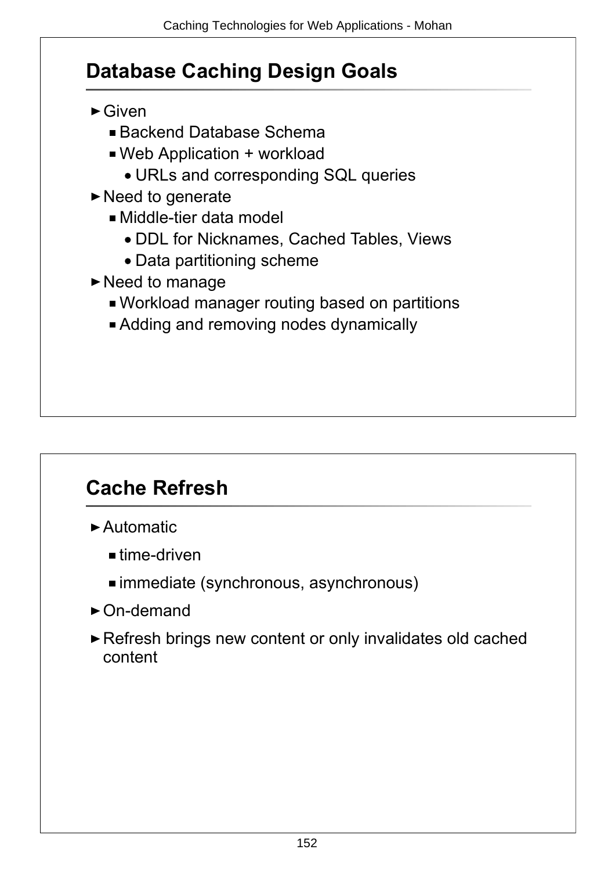### **Database Caching Design Goals**

- ► Given
	- Backend Database Schema
	- Web Application + workload
		- URLs and corresponding SQL queries
- $\blacktriangleright$  Need to generate
	- Middle-tier data model
		- DDL for Nicknames, Cached Tables, Views
		- Data partitioning scheme
- $\blacktriangleright$  Need to manage
	- Workload manager routing based on partitions
	- Adding and removing nodes dynamically

### **Cache Refresh**

- Automatic
	- $=$  time-driven
	- immediate (synchronous, asynchronous)
- ► On-demand
- ▶ Refresh brings new content or only invalidates old cached content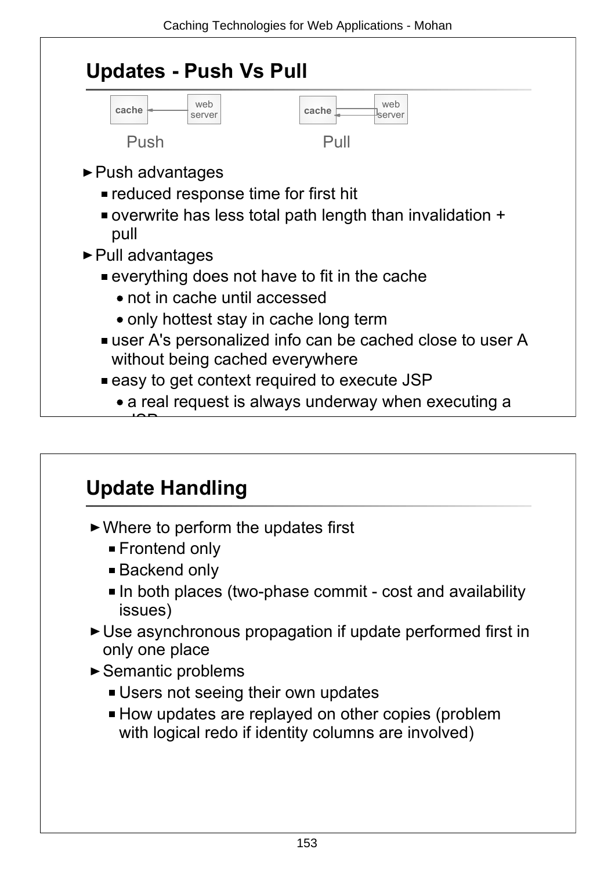

### **Update Handling**

- ► Where to perform the updates first
	- Frontend only
	- Backend only
	- In both places (two-phase commit cost and availability issues)
- Use asynchronous propagation if update performed first in only one place
- ► Semantic problems
	- **Users not seeing their own updates**
	- **How updates are replayed on other copies (problem** with logical redo if identity columns are involved)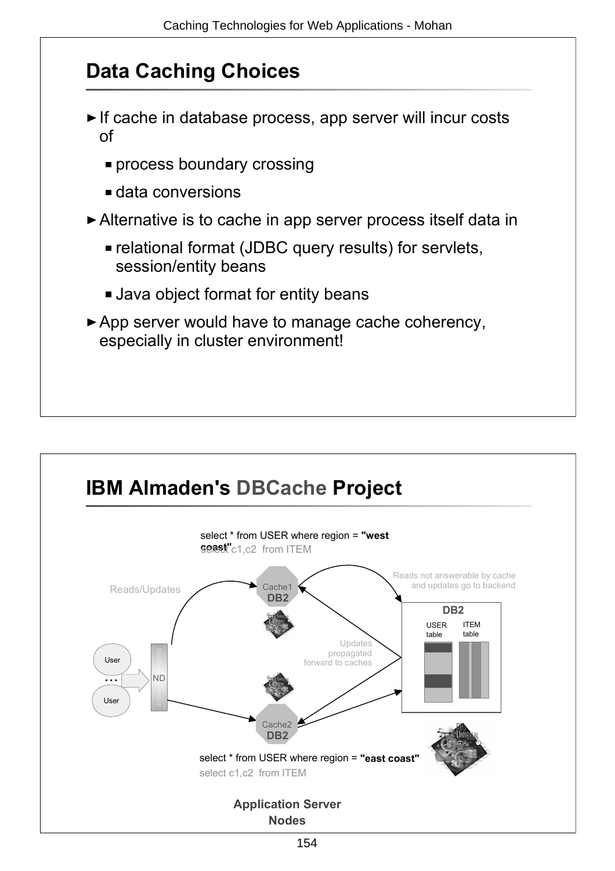### **Data Caching Choices**

- If cache in database process, app server will incur costs of
	- **Process boundary crossing**
	- data conversions
- ► Alternative is to cache in app server process itself data in
	- relational format (JDBC query results) for servlets, session/entity beans
	- Java object format for entity beans
- ► App server would have to manage cache coherency, especially in cluster environment!

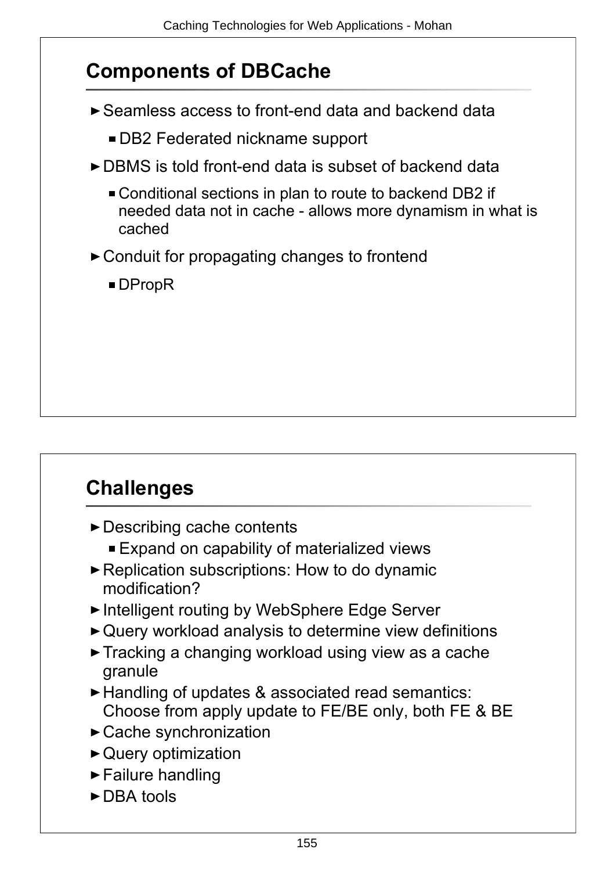### **Components of DBCache**

- ► Seamless access to front-end data and backend data
	- DB2 Federated nickname support
- ► DBMS is told front-end data is subset of backend data
	- Conditional sections in plan to route to backend DB2 if needed data not in cache - allows more dynamism in what is cached
- ► Conduit for propagating changes to frontend
	- ■DPropR

# **Challenges**

- ► Describing cache contents
	- Expand on capability of materialized views
- ▶ Replication subscriptions: How to do dynamic modification?
- ► Intelligent routing by WebSphere Edge Server
- Query workload analysis to determine view definitions
- Tracking a changing workload using view as a cache granule
- ► Handling of updates & associated read semantics: Choose from apply update to FE/BE only, both FE & BE
- Cache synchronization
- ▶ Query optimization
- $\blacktriangleright$  Failure handling
- ► DBA tools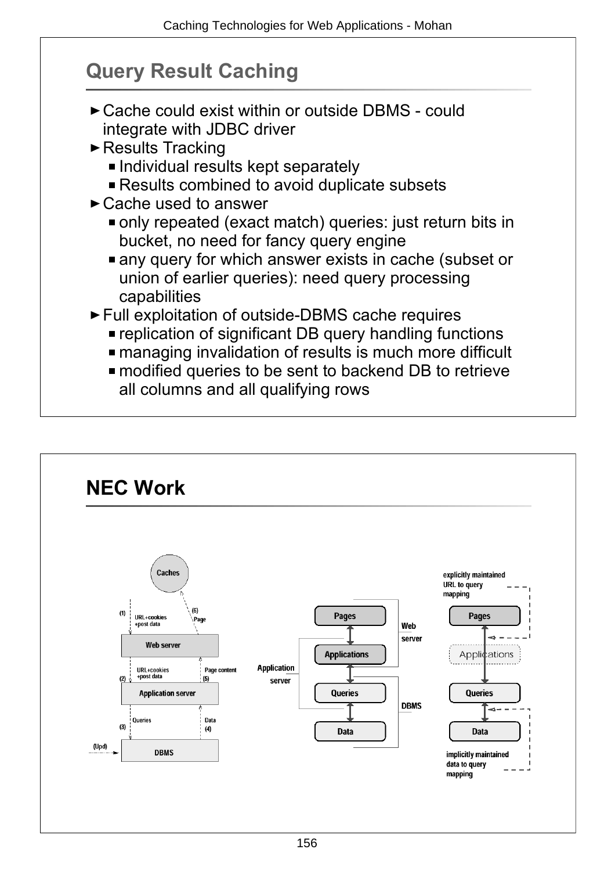### **Query Result Caching**

- ► Cache could exist within or outside DBMS could integrate with JDBC driver
- ► Results Tracking
	- **Individual results kept separately**
	- **Results combined to avoid duplicate subsets**
- ► Cache used to answer
	- only repeated (exact match) queries: just return bits in bucket, no need for fancy query engine
	- any query for which answer exists in cache (subset or union of earlier queries): need query processing capabilities
- ► Full exploitation of outside-DBMS cache requires
	- replication of significant DB query handling functions
	- managing invalidation of results is much more difficult
	- modified queries to be sent to backend DB to retrieve all columns and all qualifying rows

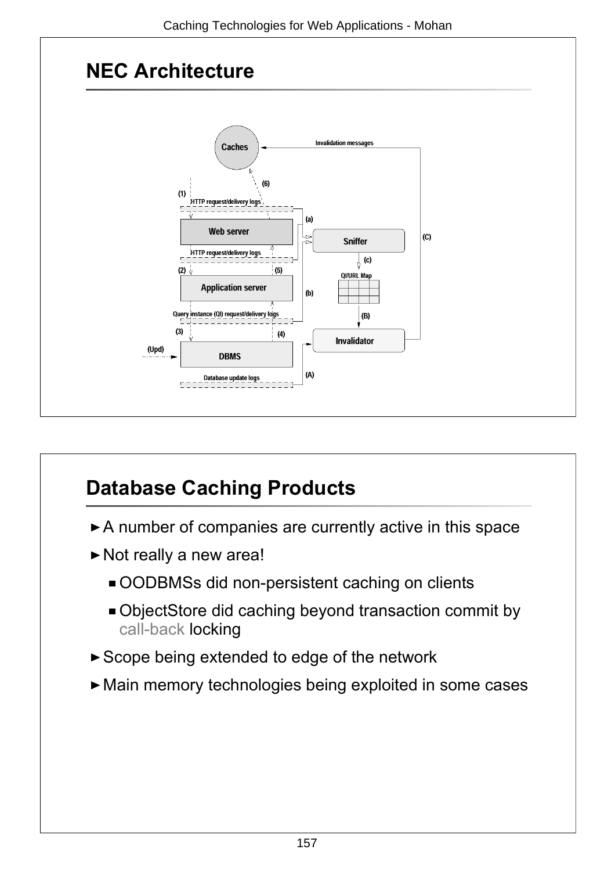



# **Database Caching Products**

- A number of companies are currently active in this space
- Not really a new area!
	- OODBMSs did non-persistent caching on clients
	- ObjectStore did caching beyond transaction commit by call-back locking
- Scope being extended to edge of the network
- Main memory technologies being exploited in some cases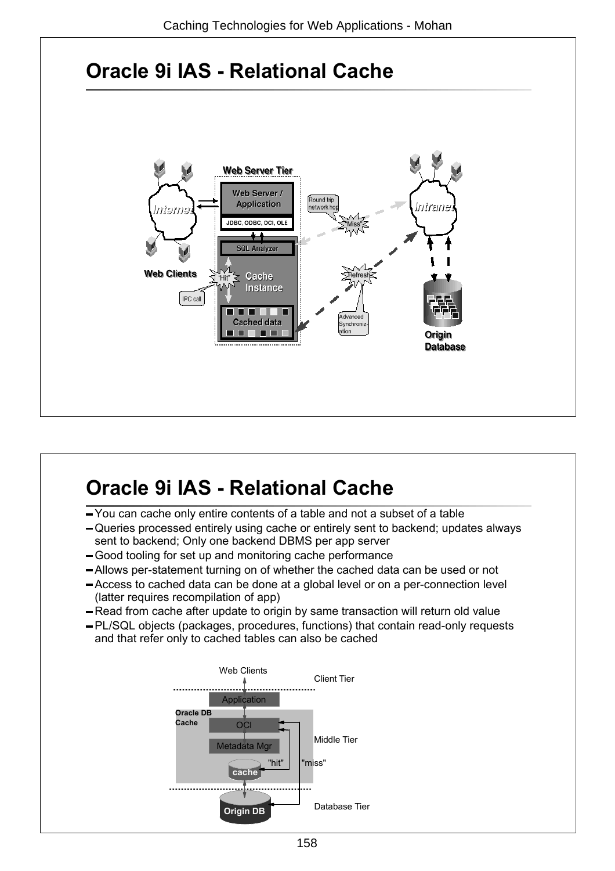

## **Oracle 9i IAS - Relational Cache**

- You can cache only entire contents of a table and not a subset of a table
- Queries processed entirely using cache or entirely sent to backend; updates always sent to backend; Only one backend DBMS per app server
- Good tooling for set up and monitoring cache performance
- Allows per-statement turning on of whether the cached data can be used or not
- Access to cached data can be done at a global level or on a per-connection level (latter requires recompilation of app)
- Read from cache after update to origin by same transaction will return old value
- PL/SQL objects (packages, procedures, functions) that contain read-only requests and that refer only to cached tables can also be cached

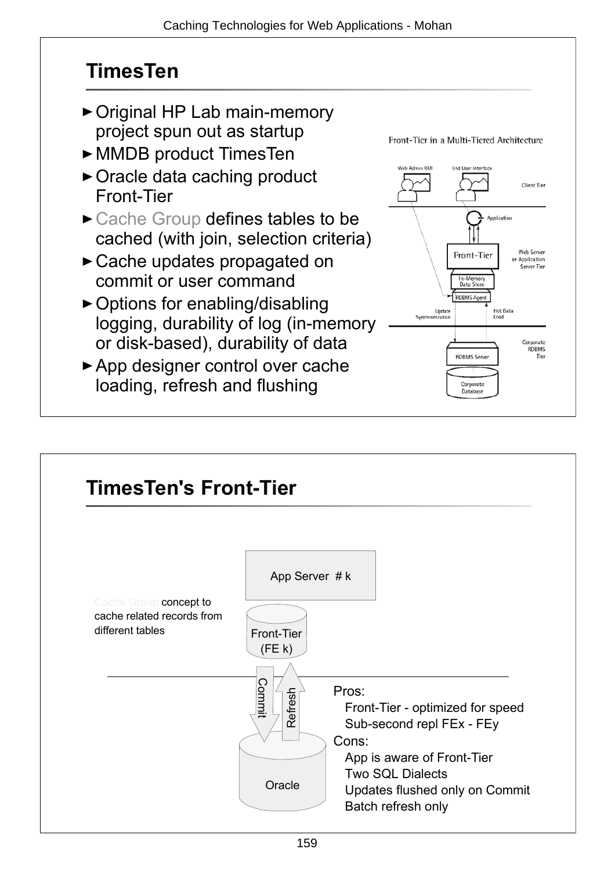### **TimesTen**

- Original HP Lab main-memory project spun out as startup
- MMDB product TimesTen
- ► Oracle data caching product Front-Tier
- ► Cache Group defines tables to be cached (with join, selection criteria)
- Cache updates propagated on commit or user command
- ▶ Options for enabling/disabling logging, durability of log (in-memory or disk-based), durability of data
- ▶ App designer control over cache loading, refresh and flushing



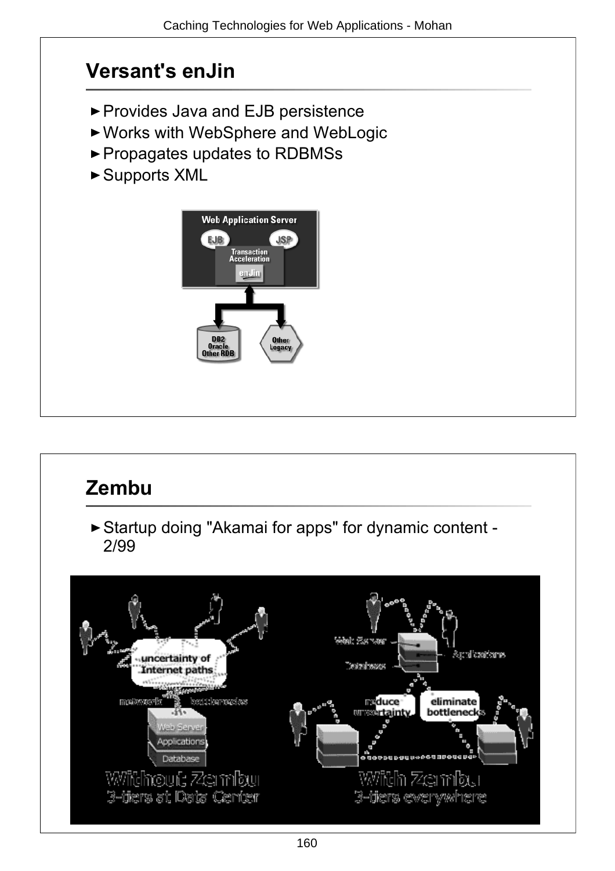# **Versant's enJin** ▶ Provides Java and EJB persistence Works with WebSphere and WebLogic ► Propagates updates to RDBMSs ► Supports XML **Web Application Server** EJB **JSP Transaction**<br>Acceleration andin **Other** egacy

### **Zembu**

Startup doing "Akamai for apps" for dynamic content - 2/99

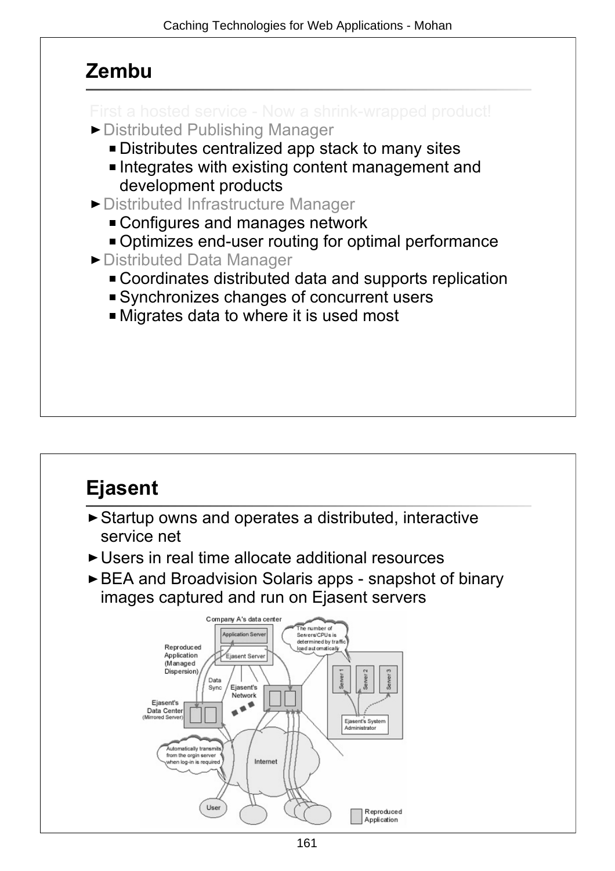#### **Zembu**

- 
- ▶ Distributed Publishing Manager
	- Distributes centralized app stack to many sites
	- Integrates with existing content management and development products
- ▶ Distributed Infrastructure Manager
	- Configures and manages network
	- Optimizes end-user routing for optimal performance
- ▶ Distributed Data Manager
	- Coordinates distributed data and supports replication
	- Synchronizes changes of concurrent users
	- Migrates data to where it is used most

# **Ejasent**

- Startup owns and operates a distributed, interactive service net
- ► Users in real time allocate additional resources
- BEA and Broadvision Solaris apps snapshot of binary images captured and run on Ejasent servers

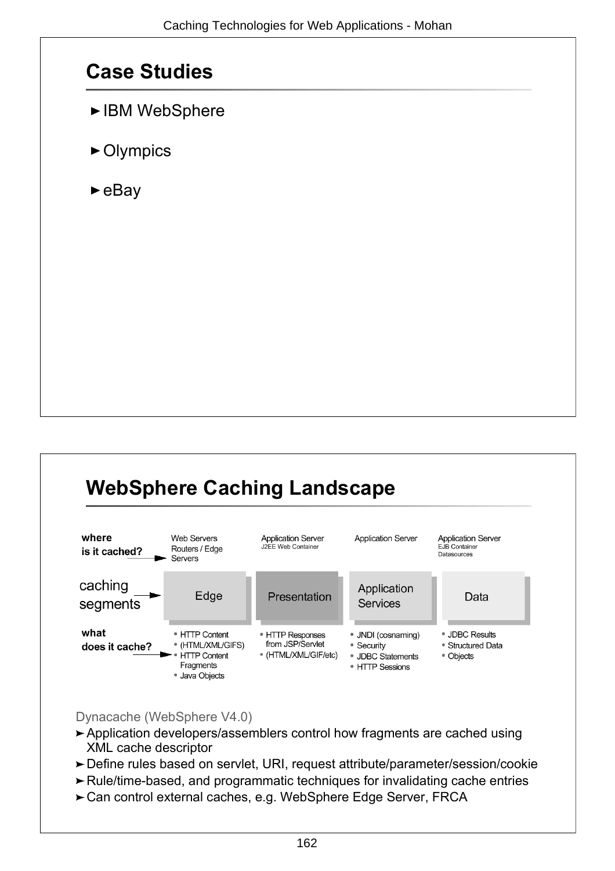#### **Case Studies**

- ► IBM WebSphere
- ► Olympics
- $\blacktriangleright$ eBay

# **WebSphere Caching Landscape**



Dynacache (WebSphere V4.0)

- Application developers/assemblers control how fragments are cached using XML cache descriptor
- Define rules based on servlet, URI, request attribute/parameter/session/cookie
- Rule/time-based, and programmatic techniques for invalidating cache entries
- ► Can control external caches, e.g. WebSphere Edge Server, FRCA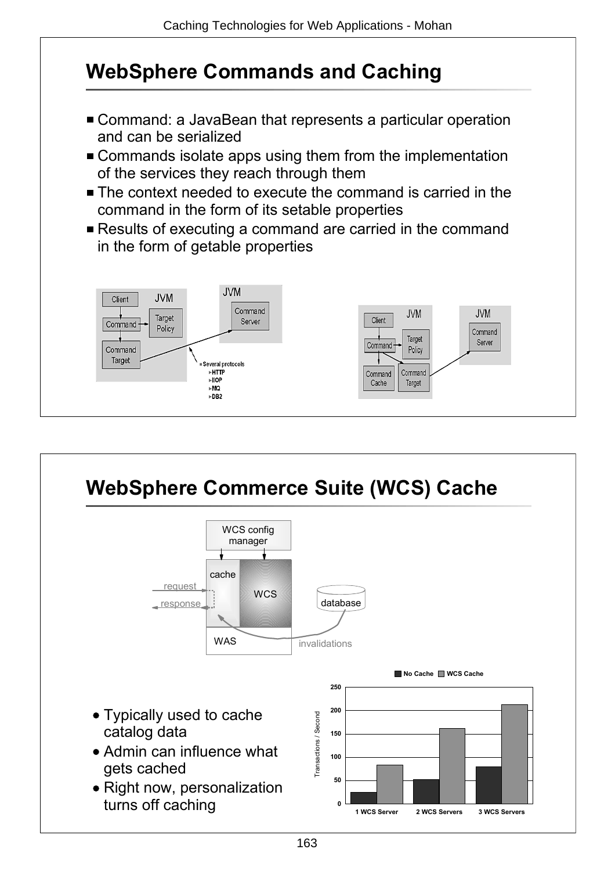## **WebSphere Commands and Caching**

- Command: a JavaBean that represents a particular operation and can be serialized
- **Commands isolate apps using them from the implementation** of the services they reach through them
- The context needed to execute the command is carried in the command in the form of its setable properties
- Results of executing a command are carried in the command in the form of getable properties



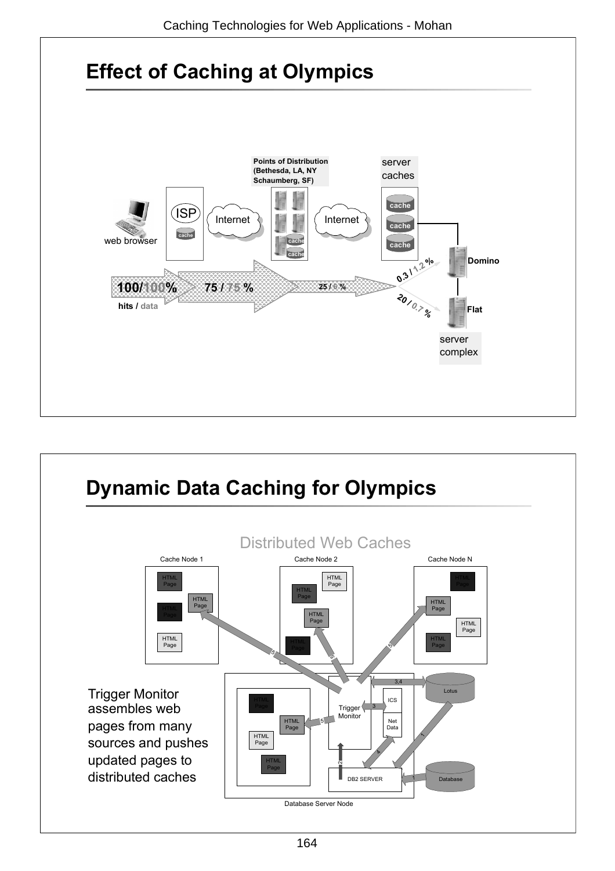

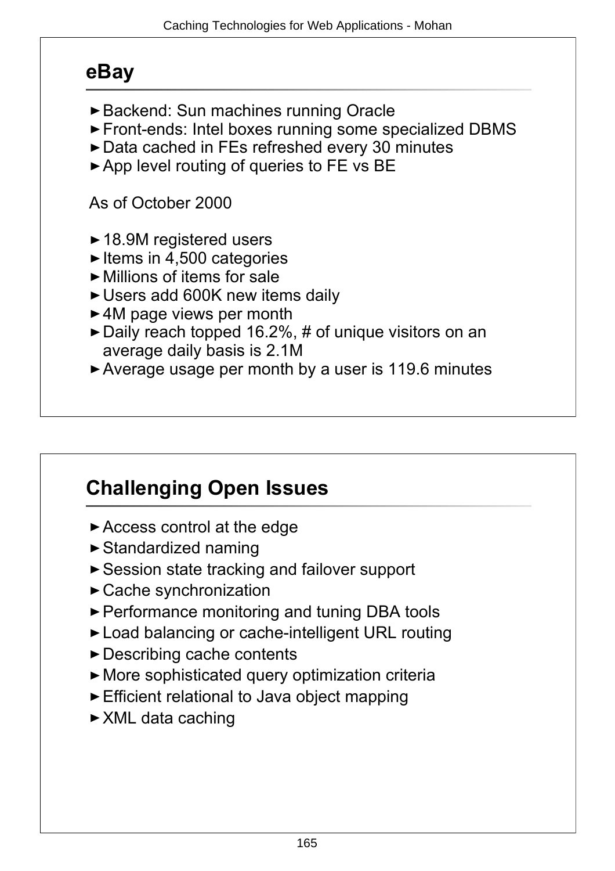#### **eBay**

- ► Backend: Sun machines running Oracle
- Front-ends: Intel boxes running some specialized DBMS
- ▶ Data cached in FEs refreshed every 30 minutes
- App level routing of queries to FE vs BE

As of October 2000

- ► 18.9M registered users
- $\blacktriangleright$  Items in 4,500 categories
- $\blacktriangleright$  Millions of items for sale
- ► Users add 600K new items daily
- ► 4M page views per month
- ► Daily reach topped 16.2%, # of unique visitors on an average daily basis is 2.1M
- ► Average usage per month by a user is 119.6 minutes

## **Challenging Open Issues**

- ► Access control at the edge
- ► Standardized naming
- ► Session state tracking and failover support
- Cache synchronization
- ▶ Performance monitoring and tuning DBA tools
- ► Load balancing or cache-intelligent URL routing
- ► Describing cache contents
- More sophisticated query optimization criteria
- Efficient relational to Java object mapping
- ► XML data caching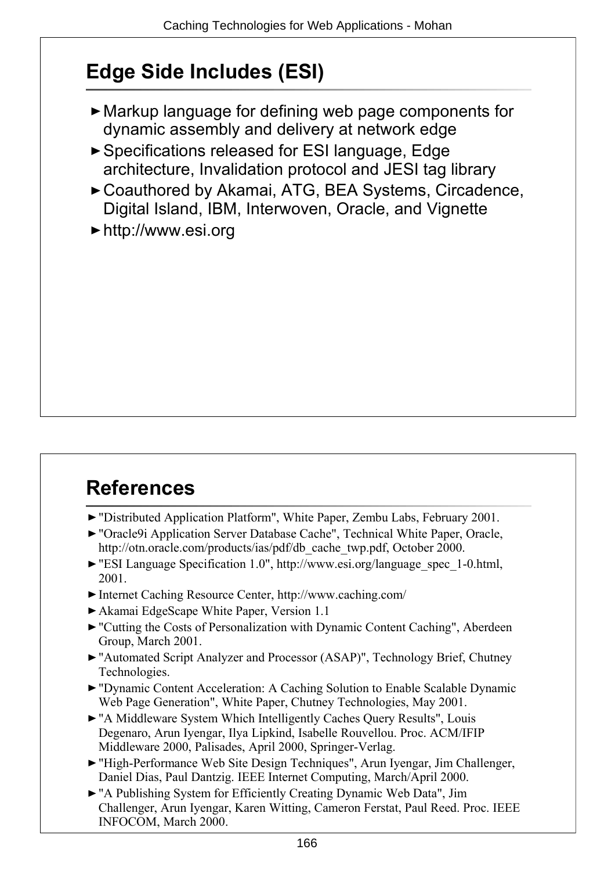## **Edge Side Includes (ESI)**

- Markup language for defining web page components for dynamic assembly and delivery at network edge
- Specifications released for ESI language, Edge architecture, Invalidation protocol and JESI tag library
- ► Coauthored by Akamai, ATG, BEA Systems, Circadence, Digital Island, IBM, Interwoven, Oracle, and Vignette
- http://www.esi.org

# **References**

- "Distributed Application Platform", White Paper, Zembu Labs, February 2001.
- ▶ "Oracle9i Application Server Database Cache", Technical White Paper, Oracle, http://otn.oracle.com/products/ias/pdf/db\_cache\_twp.pdf, October 2000.
- "ESI Language Specification 1.0", http://www.esi.org/language\_spec\_1-0.html, 2001.
- Internet Caching Resource Center, http://www.caching.com/
- Akamai EdgeScape White Paper, Version 1.1
- "Cutting the Costs of Personalization with Dynamic Content Caching", Aberdeen Group, March 2001.
- "Automated Script Analyzer and Processor (ASAP)", Technology Brief, Chutney Technologies.
- "Dynamic Content Acceleration: A Caching Solution to Enable Scalable Dynamic Web Page Generation", White Paper, Chutney Technologies, May 2001.
- "A Middleware System Which Intelligently Caches Query Results", Louis Degenaro, Arun Iyengar, Ilya Lipkind, Isabelle Rouvellou. Proc. ACM/IFIP Middleware 2000, Palisades, April 2000, Springer-Verlag.
- "High-Performance Web Site Design Techniques", Arun Iyengar, Jim Challenger, Daniel Dias, Paul Dantzig. IEEE Internet Computing, March/April 2000.
- "A Publishing System for Efficiently Creating Dynamic Web Data", Jim Challenger, Arun Iyengar, Karen Witting, Cameron Ferstat, Paul Reed. Proc. IEEE INFOCOM, March 2000.